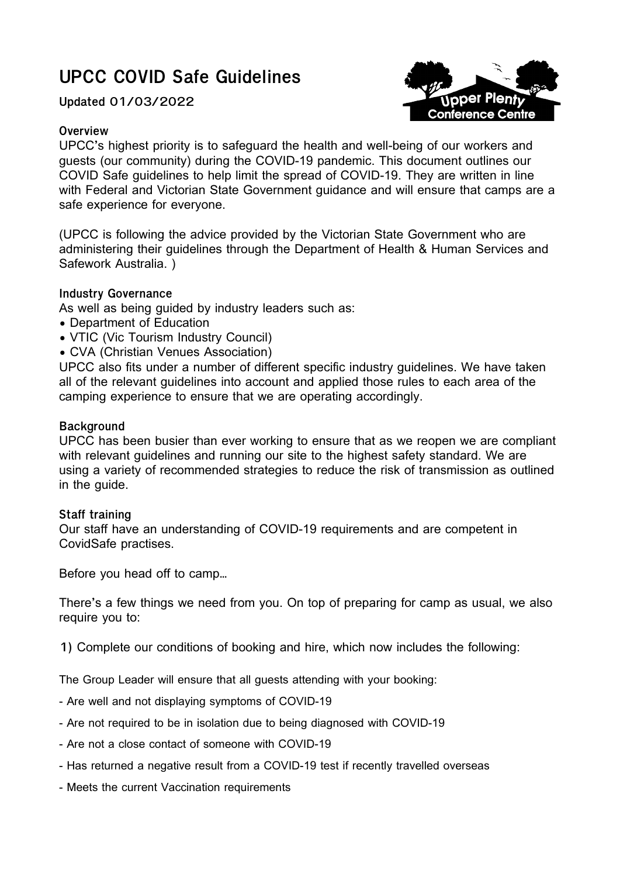# **UPCC COVID Safe Guidelines**

**Updated 01/03/2022**

## **Overview**

oper Plen **Conference Centre** 

UPCC's highest priority is to safeguard the health and well-being of our workers and guests (our community) during the COVID-19 pandemic. This document outlines our COVID Safe guidelines to help limit the spread of COVID-19. They are written in line with Federal and Victorian State Government guidance and will ensure that camps are a safe experience for everyone.

(UPCC is following the advice provided by the Victorian State Government who are administering their guidelines through the Department of Health & Human Services and Safework Australia. )

## **Industry Governance**

As well as being guided by industry leaders such as:

- Department of Education
- VTIC (Vic Tourism Industry Council)
- CVA (Christian Venues Association)

UPCC also fits under a number of different specific industry guidelines. We have taken all of the relevant guidelines into account and applied those rules to each area of the camping experience to ensure that we are operating accordingly.

## **Background**

UPCC has been busier than ever working to ensure that as we reopen we are compliant with relevant guidelines and running our site to the highest safety standard. We are using a variety of recommended strategies to reduce the risk of transmission as outlined in the guide.

#### **Staff training**

Our staff have an understanding of COVID-19 requirements and are competent in CovidSafe practises.

Before you head off to camp…

There's a few things we need from you. On top of preparing for camp as usual, we also require you to:

**1)** Complete our conditions of booking and hire, which now includes the following:

The Group Leader will ensure that all guests attending with your booking:

- Are well and not displaying symptoms of COVID-19
- Are not required to be in isolation due to being diagnosed with COVID-19
- Are not a close contact of someone with COVID-19
- Has returned a negative result from a COVID-19 test if recently travelled overseas
- Meets the current Vaccination requirements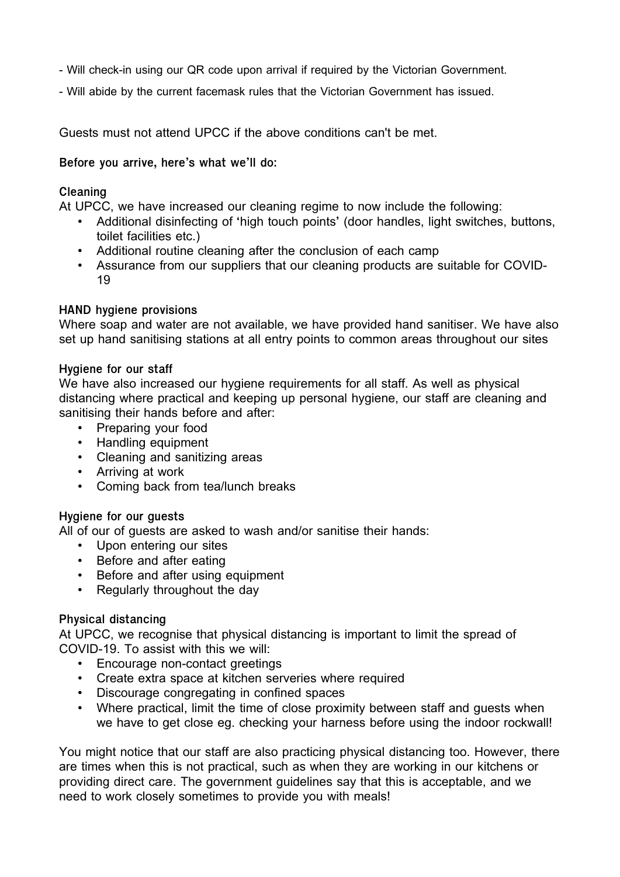- Will check-in using our QR code upon arrival if required by the Victorian Government.
- Will abide by the current facemask rules that the Victorian Government has issued.

Guests must not attend UPCC if the above conditions can't be met.

**Before you arrive, here's what we'll do:**

## **Cleaning**

At UPCC, we have increased our cleaning regime to now include the following:

- Additional disinfecting of 'high touch points' (door handles, light switches, buttons, toilet facilities etc.)
- Additional routine cleaning after the conclusion of each camp
- Assurance from our suppliers that our cleaning products are suitable for COVID-19

## **HAND hygiene provisions**

Where soap and water are not available, we have provided hand sanitiser. We have also set up hand sanitising stations at all entry points to common areas throughout our sites

#### **Hygiene for our staff**

We have also increased our hygiene requirements for all staff. As well as physical distancing where practical and keeping up personal hygiene, our staff are cleaning and sanitising their hands before and after:

- Preparing your food
- Handling equipment
- Cleaning and sanitizing areas
- Arriving at work
- Coming back from tea/lunch breaks

#### **Hygiene for our guests**

All of our of quests are asked to wash and/or sanitise their hands:

- Upon entering our sites
- Before and after eating
- Before and after using equipment
- Regularly throughout the day

#### **Physical distancing**

At UPCC, we recognise that physical distancing is important to limit the spread of COVID-19. To assist with this we will:

- Encourage non-contact greetings
- Create extra space at kitchen serveries where required
- Discourage congregating in confined spaces
- Where practical, limit the time of close proximity between staff and guests when we have to get close eg. checking your harness before using the indoor rockwall!

You might notice that our staff are also practicing physical distancing too. However, there are times when this is not practical, such as when they are working in our kitchens or providing direct care. The government guidelines say that this is acceptable, and we need to work closely sometimes to provide you with meals!